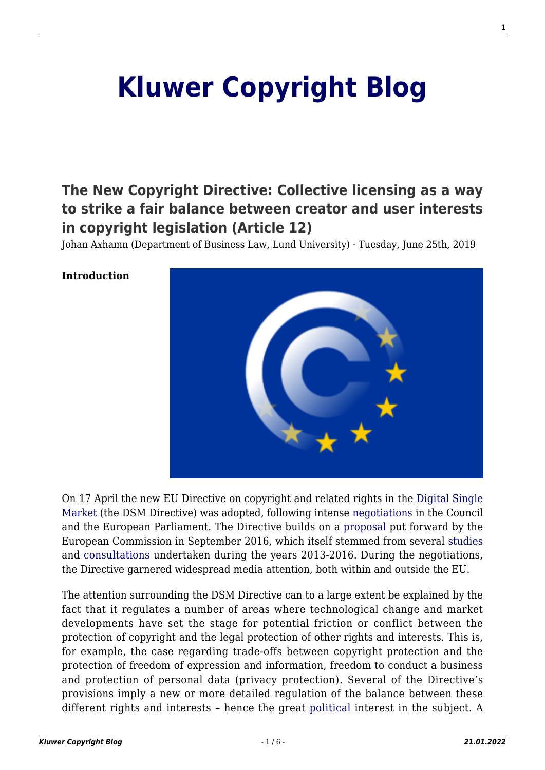# **[Kluwer Copyright Blog](http://copyrightblog.kluweriplaw.com/)**

# **[The New Copyright Directive: Collective licensing as a way](http://copyrightblog.kluweriplaw.com/2019/06/25/the-new-copyright-directive-collective-licensing-as-a-way-to-strike-a-fair-balance-between-creator-and-user-interests-in-copyright-legislation-article-12/) [to strike a fair balance between creator and user interests](http://copyrightblog.kluweriplaw.com/2019/06/25/the-new-copyright-directive-collective-licensing-as-a-way-to-strike-a-fair-balance-between-creator-and-user-interests-in-copyright-legislation-article-12/) [in copyright legislation \(Article 12\)](http://copyrightblog.kluweriplaw.com/2019/06/25/the-new-copyright-directive-collective-licensing-as-a-way-to-strike-a-fair-balance-between-creator-and-user-interests-in-copyright-legislation-article-12/)**

Johan Axhamn (Department of Business Law, Lund University) · Tuesday, June 25th, 2019



#### **Introduction**

On 17 April the new EU Directive on copyright and related rights in the [Digital Single](https://eur-lex.europa.eu/legal-content/EN/TXT/?uri=CELEX%3A32019L0790) [Market](https://eur-lex.europa.eu/legal-content/EN/TXT/?uri=CELEX%3A32019L0790) (the DSM Directive) was adopted, following intense [negotiations](http://ipkitten.blogspot.com/2019/02/keeping-up-with-copyright-directive.html) in the Council and the European Parliament. The Directive builds on a [proposal](https://eur-lex.europa.eu/legal-content/EN/TXT/?uri=COM:2016:0593:FIN) put forward by the European Commission in September 2016, which itself stemmed from several [studies](https://ec.europa.eu/digital-single-market/en/reports-and-studies/75982/73820) and [consultations](https://ec.europa.eu/digital-single-market/en/news/licences-europe-stakeholder-dialogue) undertaken during the years 2013-2016. During the negotiations, the Directive garnered widespread media attention, both within and outside the EU.

The attention surrounding the DSM Directive can to a large extent be explained by the fact that it regulates a number of areas where technological change and market developments have set the stage for potential friction or conflict between the protection of copyright and the legal protection of other rights and interests. This is, for example, the case regarding trade-offs between copyright protection and the protection of freedom of expression and information, freedom to conduct a business and protection of personal data (privacy protection). Several of the Directive's provisions imply a new or more detailed regulation of the balance between these different rights and interests – hence the great [political](https://juliareda.eu/eu-copyright-reform/) interest in the subject. A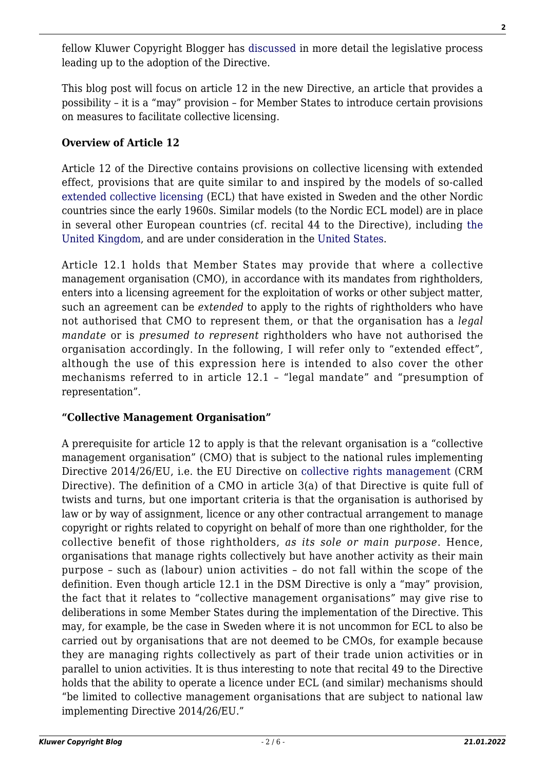fellow Kluwer Copyright Blogger has [discussed](http://copyrightblog.kluweriplaw.com/2019/06/07/the-new-copyright-directive-a-tour-dhorizon-part-i/) in more detail the legislative process leading up to the adoption of the Directive.

This blog post will focus on article 12 in the new Directive, an article that provides a possibility – it is a "may" provision – for Member States to introduce certain provisions on measures to facilitate collective licensing.

# **Overview of Article 12**

Article 12 of the Directive contains provisions on collective licensing with extended effect, provisions that are quite similar to and inspired by the models of so-called [extended collective licensing](https://en.wikipedia.org/wiki/Extended_collective_licensing) (ECL) that have existed in Sweden and the other Nordic countries since the early 1960s. Similar models (to the Nordic ECL model) are in place in several other European countries (cf. recital 44 to the Directive), including [the](https://www.gov.uk/government/publications/extended-collective-licensing) [United Kingdom,](https://www.gov.uk/government/publications/extended-collective-licensing) and are under consideration in the [United States](https://papers.ssrn.com/sol3/papers.cfm?abstract_id=2683522).

Article 12.1 holds that Member States may provide that where a collective management organisation (CMO), in accordance with its mandates from rightholders, enters into a licensing agreement for the exploitation of works or other subject matter, such an agreement can be *extended* to apply to the rights of rightholders who have not authorised that CMO to represent them, or that the organisation has a *legal mandate* or is *presumed to represent* rightholders who have not authorised the organisation accordingly. In the following, I will refer only to "extended effect", although the use of this expression here is intended to also cover the other mechanisms referred to in article 12.1 – "legal mandate" and "presumption of representation".

## **"Collective Management Organisation"**

A prerequisite for article 12 to apply is that the relevant organisation is a "collective management organisation" (CMO) that is subject to the national rules implementing Directive 2014/26/EU, i.e. the EU Directive on [collective rights management](https://eur-lex.europa.eu/legal-content/EN/TXT/?uri=CELEX%3A32014L0026) (CRM Directive). The definition of a CMO in article 3(a) of that Directive is quite full of twists and turns, but one important criteria is that the organisation is authorised by law or by way of assignment, licence or any other contractual arrangement to manage copyright or rights related to copyright on behalf of more than one rightholder, for the collective benefit of those rightholders, *as its sole or main purpose*. Hence, organisations that manage rights collectively but have another activity as their main purpose – such as (labour) union activities – do not fall within the scope of the definition. Even though article 12.1 in the DSM Directive is only a "may" provision, the fact that it relates to "collective management organisations" may give rise to deliberations in some Member States during the implementation of the Directive. This may, for example, be the case in Sweden where it is not uncommon for ECL to also be carried out by organisations that are not deemed to be CMOs, for example because they are managing rights collectively as part of their trade union activities or in parallel to union activities. It is thus interesting to note that recital 49 to the Directive holds that the ability to operate a licence under ECL (and similar) mechanisms should "be limited to collective management organisations that are subject to national law implementing Directive 2014/26/EU."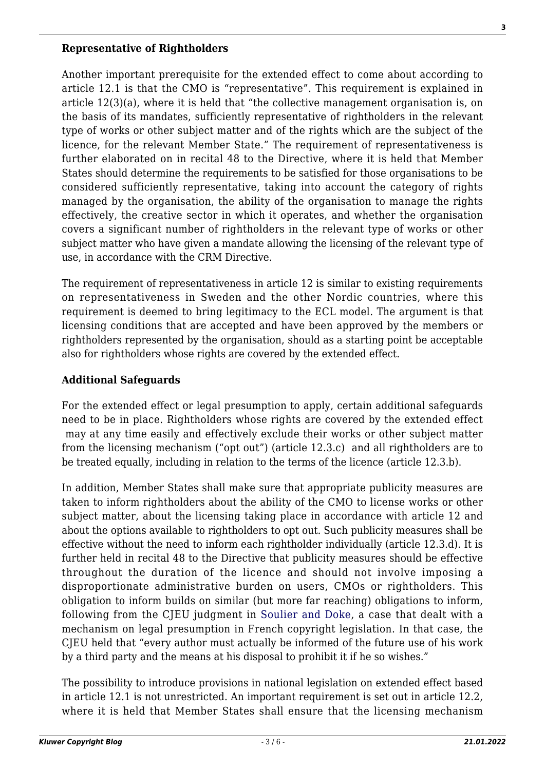#### **Representative of Rightholders**

Another important prerequisite for the extended effect to come about according to article 12.1 is that the CMO is "representative". This requirement is explained in article 12(3)(a), where it is held that "the collective management organisation is, on the basis of its mandates, sufficiently representative of rightholders in the relevant type of works or other subject matter and of the rights which are the subject of the licence, for the relevant Member State." The requirement of representativeness is further elaborated on in recital 48 to the Directive, where it is held that Member States should determine the requirements to be satisfied for those organisations to be considered sufficiently representative, taking into account the category of rights managed by the organisation, the ability of the organisation to manage the rights effectively, the creative sector in which it operates, and whether the organisation covers a significant number of rightholders in the relevant type of works or other subject matter who have given a mandate allowing the licensing of the relevant type of use, in accordance with the CRM Directive.

The requirement of representativeness in article 12 is similar to existing requirements on representativeness in Sweden and the other Nordic countries, where this requirement is deemed to bring legitimacy to the ECL model. The argument is that licensing conditions that are accepted and have been approved by the members or rightholders represented by the organisation, should as a starting point be acceptable also for rightholders whose rights are covered by the extended effect.

#### **Additional Safeguards**

For the extended effect or legal presumption to apply, certain additional safeguards need to be in place. Rightholders whose rights are covered by the extended effect may at any time easily and effectively exclude their works or other subject matter from the licensing mechanism ("opt out") (article 12.3.c) and all rightholders are to be treated equally, including in relation to the terms of the licence (article 12.3.b).

In addition, Member States shall make sure that appropriate publicity measures are taken to inform rightholders about the ability of the CMO to license works or other subject matter, about the licensing taking place in accordance with article 12 and about the options available to rightholders to opt out. Such publicity measures shall be effective without the need to inform each rightholder individually (article 12.3.d). It is further held in recital 48 to the Directive that publicity measures should be effective throughout the duration of the licence and should not involve imposing a disproportionate administrative burden on users, CMOs or rightholders. This obligation to inform builds on similar (but more far reaching) obligations to inform, following from the CJEU judgment in [Soulier and Doke,](http://curia.europa.eu/juris/liste.jsf?num=C-301/15&language=en) a case that dealt with a mechanism on legal presumption in French copyright legislation. In that case, the CJEU held that "every author must actually be informed of the future use of his work by a third party and the means at his disposal to prohibit it if he so wishes."

The possibility to introduce provisions in national legislation on extended effect based in article 12.1 is not unrestricted. An important requirement is set out in article 12.2, where it is held that Member States shall ensure that the licensing mechanism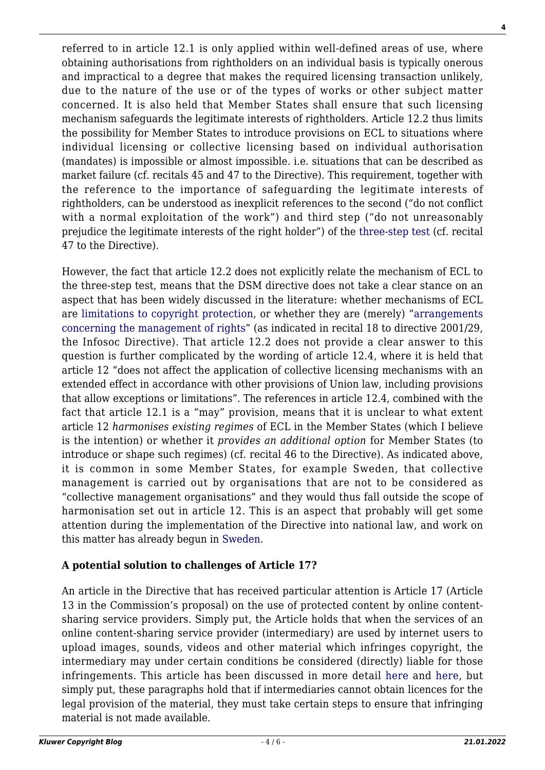**4**

referred to in article 12.1 is only applied within well-defined areas of use, where obtaining authorisations from rightholders on an individual basis is typically onerous and impractical to a degree that makes the required licensing transaction unlikely, due to the nature of the use or of the types of works or other subject matter concerned. It is also held that Member States shall ensure that such licensing mechanism safeguards the legitimate interests of rightholders. Article 12.2 thus limits the possibility for Member States to introduce provisions on ECL to situations where individual licensing or collective licensing based on individual authorisation (mandates) is impossible or almost impossible. i.e. situations that can be described as market failure (cf. recitals 45 and 47 to the Directive). This requirement, together with the reference to the importance of safeguarding the legitimate interests of rightholders, can be understood as inexplicit references to the second ("do not conflict with a normal exploitation of the work") and third step ("do not unreasonably prejudice the legitimate interests of the right holder") of the [three-step test](https://lrus.wolterskluwer.com/store/product/copyright-limitations-and-the-three-step-test/) (cf. recital 47 to the Directive).

However, the fact that article 12.2 does not explicitly relate the mechanism of ECL to the three-step test, means that the DSM directive does not take a clear stance on an aspect that has been widely discussed in the literature: whether mechanisms of ECL are [limitations to copyright protection,](https://papers.ssrn.com/sol3/papers.cfm?abstract_id=2001347) or whether they are (merely) ["arrangements](http://www.diva-portal.org/smash/record.jsf?pid=diva2:747339) [concerning the management of rights](http://www.diva-portal.org/smash/record.jsf?pid=diva2:747339)" (as indicated in recital 18 to directive 2001/29, the Infosoc Directive). That article 12.2 does not provide a clear answer to this question is further complicated by the wording of article 12.4, where it is held that article 12 "does not affect the application of collective licensing mechanisms with an extended effect in accordance with other provisions of Union law, including provisions that allow exceptions or limitations". The references in article 12.4, combined with the fact that article 12.1 is a "may" provision, means that it is unclear to what extent article 12 *harmonises existing regimes* of ECL in the Member States (which I believe is the intention) or whether it *provides an additional option* for Member States (to introduce or shape such regimes) (cf. recital 46 to the Directive). As indicated above, it is common in some Member States, for example Sweden, that collective management is carried out by organisations that are not to be considered as "collective management organisations" and they would thus fall outside the scope of harmonisation set out in article 12. This is an aspect that probably will get some attention during the implementation of the Directive into national law, and work on this matter has already begun in [Sweden](https://www.regeringen.se/artiklar/2019/05/genomforande-av-eus-nya-upphovsrattsdirektiv/).

# **A potential solution to challenges of Article 17?**

An article in the Directive that has received particular attention is Article 17 (Article 13 in the Commission's proposal) on the use of protected content by online contentsharing service providers. Simply put, the Article holds that when the services of an online content-sharing service provider (intermediary) are used by internet users to upload images, sounds, videos and other material which infringes copyright, the intermediary may under certain conditions be considered (directly) liable for those infringements. This article has been discussed in more detail [here](http://copyrightblog.kluweriplaw.com/2019/06/17/the-new-copyright-directive-a-tour-dhorizon-part-ii-of-press-publishers-upload-filters-and-the-real-value-gap/) and [here](http://copyrightblog.kluweriplaw.com/2018/07/10/eus-controversial-digital-single-market-directive-part-proposed-internet-content-filtering-mandate-controversial/), but simply put, these paragraphs hold that if intermediaries cannot obtain licences for the legal provision of the material, they must take certain steps to ensure that infringing material is not made available.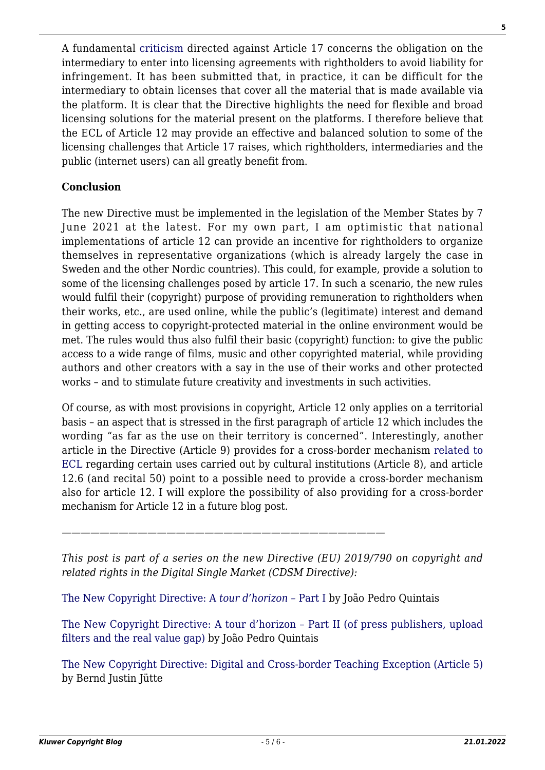A fundamental [criticism](https://www.nir.nu/notis/NIR2019W8) directed against Article 17 concerns the obligation on the intermediary to enter into licensing agreements with rightholders to avoid liability for infringement. It has been submitted that, in practice, it can be difficult for the intermediary to obtain licenses that cover all the material that is made available via the platform. It is clear that the Directive highlights the need for flexible and broad licensing solutions for the material present on the platforms. I therefore believe that the ECL of Article 12 may provide an effective and balanced solution to some of the licensing challenges that Article 17 raises, which rightholders, intermediaries and the public (internet users) can all greatly benefit from.

## **Conclusion**

The new Directive must be implemented in the legislation of the Member States by 7 June 2021 at the latest. For my own part, I am optimistic that national implementations of article 12 can provide an incentive for rightholders to organize themselves in representative organizations (which is already largely the case in Sweden and the other Nordic countries). This could, for example, provide a solution to some of the licensing challenges posed by article 17. In such a scenario, the new rules would fulfil their (copyright) purpose of providing remuneration to rightholders when their works, etc., are used online, while the public's (legitimate) interest and demand in getting access to copyright-protected material in the online environment would be met. The rules would thus also fulfil their basic (copyright) function: to give the public access to a wide range of films, music and other copyrighted material, while providing authors and other creators with a say in the use of their works and other protected works – and to stimulate future creativity and investments in such activities.

Of course, as with most provisions in copyright, Article 12 only applies on a territorial basis – an aspect that is stressed in the first paragraph of article 12 which includes the wording "as far as the use on their territory is concerned". Interestingly, another article in the Directive (Article 9) provides for a cross-border mechanism [related to](https://papers.ssrn.com/sol3/papers.cfm?abstract_id=2001347) [ECL](https://papers.ssrn.com/sol3/papers.cfm?abstract_id=2001347) regarding certain uses carried out by cultural institutions (Article 8), and article 12.6 (and recital 50) point to a possible need to provide a cross-border mechanism also for article 12. I will explore the possibility of also providing for a cross-border mechanism for Article 12 in a future blog post.

*——————————————————————————————————*

*This post is part of a series on the new Directive (EU) 2019/790 on copyright and related rights in the Digital Single Market (CDSM Directive):*

[The New Copyright Directive: A](http://copyrightblog.kluweriplaw.com/2019/06/07/the-new-copyright-directive-a-tour-dhorizon-part-i/) *[tour d'horizon –](http://copyrightblog.kluweriplaw.com/2019/06/07/the-new-copyright-directive-a-tour-dhorizon-part-i/)* [Part I](http://copyrightblog.kluweriplaw.com/2019/06/07/the-new-copyright-directive-a-tour-dhorizon-part-i/) by João Pedro Quintais

[The New Copyright Directive: A tour d'horizon – Part II \(of press publishers, upload](http://copyrightblog.kluweriplaw.com/2019/06/17/the-new-copyright-directive-a-tour-dhorizon-part-ii-of-press-publishers-upload-filters-and-the-real-value-gap/) [filters and the real value gap\)](http://copyrightblog.kluweriplaw.com/2019/06/17/the-new-copyright-directive-a-tour-dhorizon-part-ii-of-press-publishers-upload-filters-and-the-real-value-gap/) by João Pedro Quintais

[The New Copyright Directive: Digital and Cross-border Teaching Exception \(Article 5\)](http://copyrightblog.kluweriplaw.com/2019/06/21/the-new-copyright-directive-digital-and-cross-border-teaching-exception-article-5/) by Bernd Justin Jütte